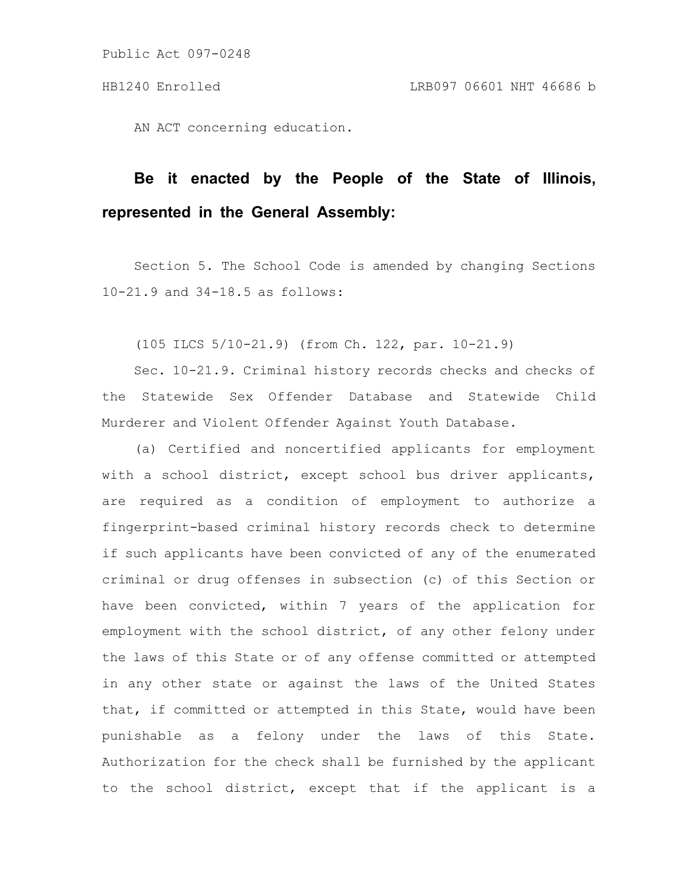AN ACT concerning education.

# **Be it enacted by the People of the State of Illinois, represented in the General Assembly:**

Section 5. The School Code is amended by changing Sections 10-21.9 and 34-18.5 as follows:

(105 ILCS 5/10-21.9) (from Ch. 122, par. 10-21.9)

Sec. 10-21.9. Criminal history records checks and checks of the Statewide Sex Offender Database and Statewide Child Murderer and Violent Offender Against Youth Database.

(a) Certified and noncertified applicants for employment with a school district, except school bus driver applicants, are required as a condition of employment to authorize a fingerprint-based criminal history records check to determine if such applicants have been convicted of any of the enumerated criminal or drug offenses in subsection (c) of this Section or have been convicted, within 7 years of the application for employment with the school district, of any other felony under the laws of this State or of any offense committed or attempted in any other state or against the laws of the United States that, if committed or attempted in this State, would have been punishable as a felony under the laws of this State. Authorization for the check shall be furnished by the applicant to the school district, except that if the applicant is a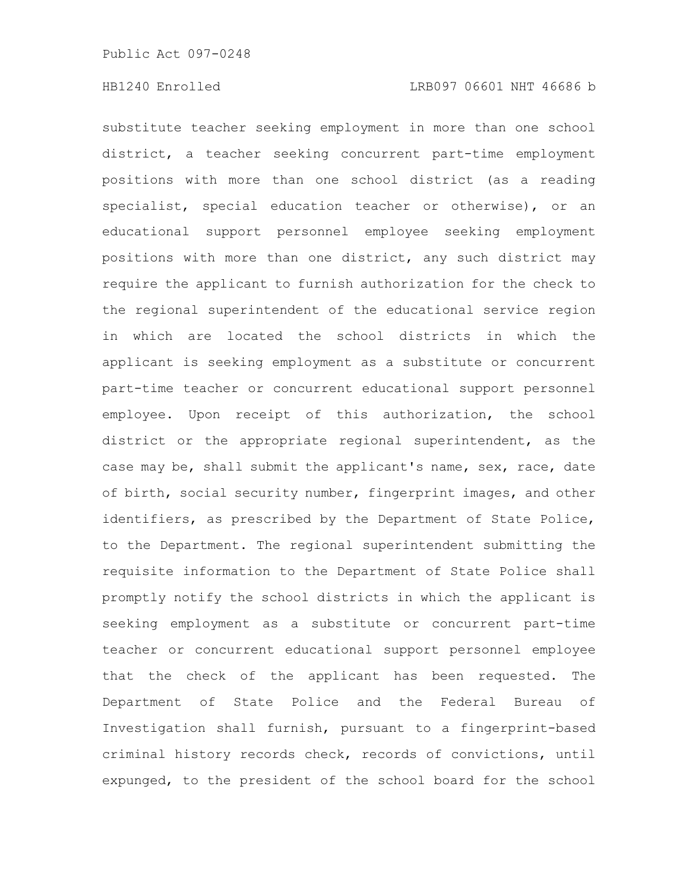substitute teacher seeking employment in more than one school district, a teacher seeking concurrent part-time employment positions with more than one school district (as a reading specialist, special education teacher or otherwise), or an educational support personnel employee seeking employment positions with more than one district, any such district may require the applicant to furnish authorization for the check to the regional superintendent of the educational service region in which are located the school districts in which the applicant is seeking employment as a substitute or concurrent part-time teacher or concurrent educational support personnel employee. Upon receipt of this authorization, the school district or the appropriate regional superintendent, as the case may be, shall submit the applicant's name, sex, race, date of birth, social security number, fingerprint images, and other identifiers, as prescribed by the Department of State Police, to the Department. The regional superintendent submitting the requisite information to the Department of State Police shall promptly notify the school districts in which the applicant is seeking employment as a substitute or concurrent part-time teacher or concurrent educational support personnel employee that the check of the applicant has been requested. The Department of State Police and the Federal Bureau of Investigation shall furnish, pursuant to a fingerprint-based criminal history records check, records of convictions, until expunged, to the president of the school board for the school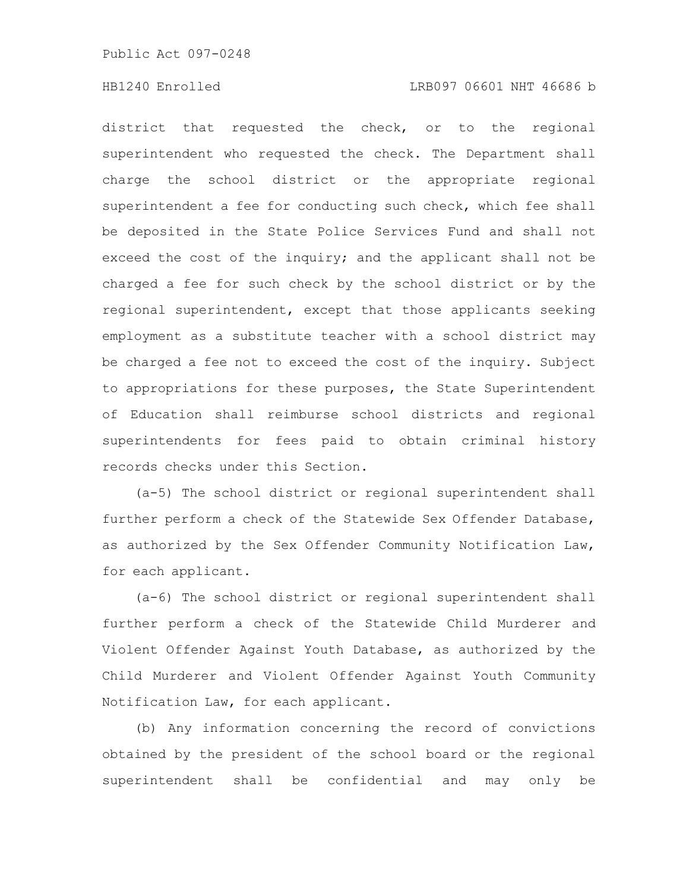# HB1240 Enrolled LRB097 06601 NHT 46686 b

district that requested the check, or to the regional superintendent who requested the check. The Department shall charge the school district or the appropriate regional superintendent a fee for conducting such check, which fee shall be deposited in the State Police Services Fund and shall not exceed the cost of the inquiry; and the applicant shall not be charged a fee for such check by the school district or by the regional superintendent, except that those applicants seeking employment as a substitute teacher with a school district may be charged a fee not to exceed the cost of the inquiry. Subject to appropriations for these purposes, the State Superintendent of Education shall reimburse school districts and regional superintendents for fees paid to obtain criminal history records checks under this Section.

(a-5) The school district or regional superintendent shall further perform a check of the Statewide Sex Offender Database, as authorized by the Sex Offender Community Notification Law, for each applicant.

(a-6) The school district or regional superintendent shall further perform a check of the Statewide Child Murderer and Violent Offender Against Youth Database, as authorized by the Child Murderer and Violent Offender Against Youth Community Notification Law, for each applicant.

(b) Any information concerning the record of convictions obtained by the president of the school board or the regional superintendent shall be confidential and may only be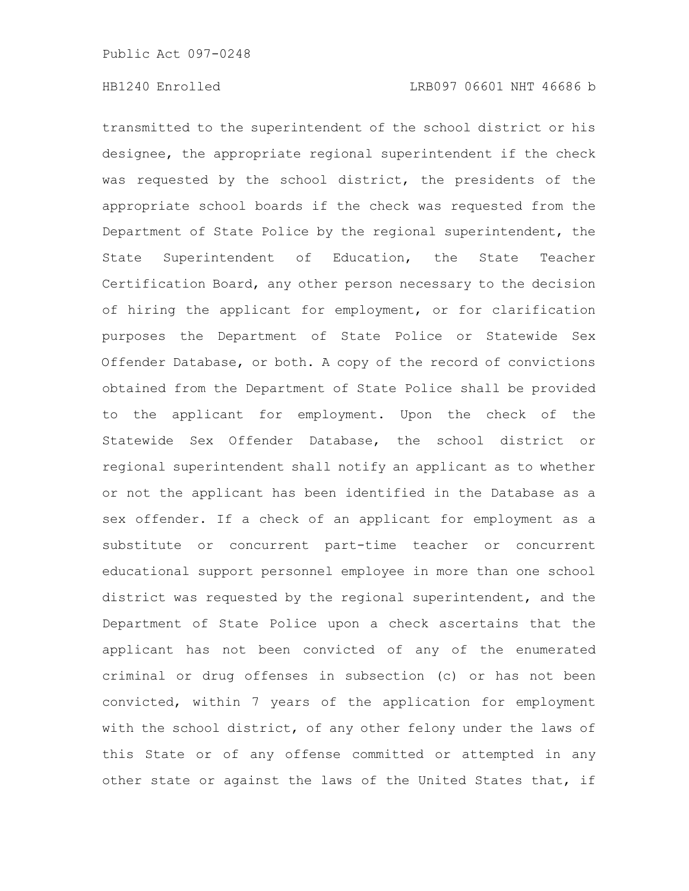transmitted to the superintendent of the school district or his designee, the appropriate regional superintendent if the check was requested by the school district, the presidents of the appropriate school boards if the check was requested from the Department of State Police by the regional superintendent, the State Superintendent of Education, the State Teacher Certification Board, any other person necessary to the decision of hiring the applicant for employment, or for clarification purposes the Department of State Police or Statewide Sex Offender Database, or both. A copy of the record of convictions obtained from the Department of State Police shall be provided to the applicant for employment. Upon the check of the Statewide Sex Offender Database, the school district or regional superintendent shall notify an applicant as to whether or not the applicant has been identified in the Database as a sex offender. If a check of an applicant for employment as a substitute or concurrent part-time teacher or concurrent educational support personnel employee in more than one school district was requested by the regional superintendent, and the Department of State Police upon a check ascertains that the applicant has not been convicted of any of the enumerated criminal or drug offenses in subsection (c) or has not been convicted, within 7 years of the application for employment with the school district, of any other felony under the laws of this State or of any offense committed or attempted in any other state or against the laws of the United States that, if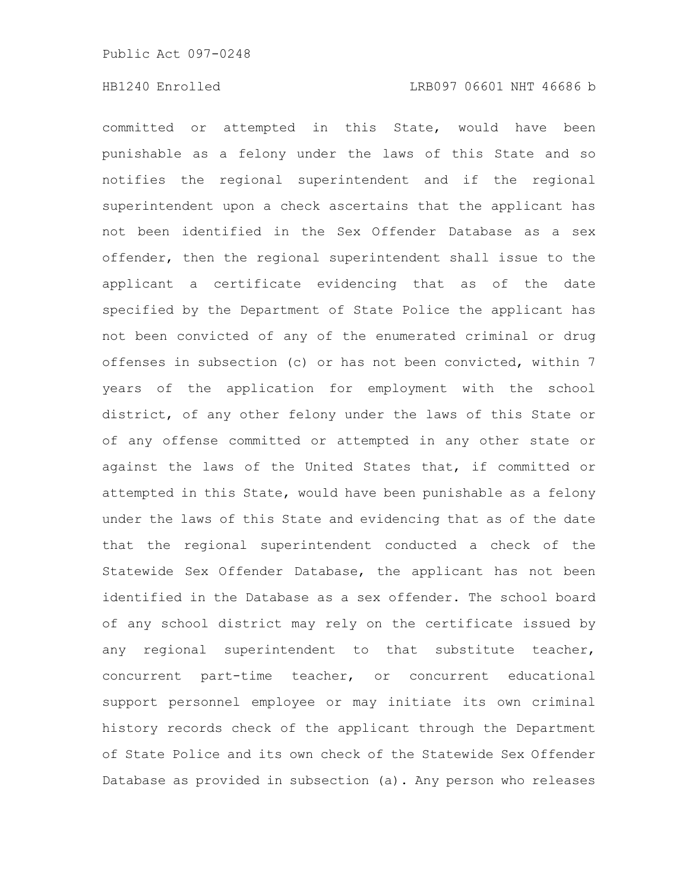committed or attempted in this State, would have been punishable as a felony under the laws of this State and so notifies the regional superintendent and if the regional superintendent upon a check ascertains that the applicant has not been identified in the Sex Offender Database as a sex offender, then the regional superintendent shall issue to the applicant a certificate evidencing that as of the date specified by the Department of State Police the applicant has not been convicted of any of the enumerated criminal or drug offenses in subsection (c) or has not been convicted, within 7 years of the application for employment with the school district, of any other felony under the laws of this State or of any offense committed or attempted in any other state or against the laws of the United States that, if committed or attempted in this State, would have been punishable as a felony under the laws of this State and evidencing that as of the date that the regional superintendent conducted a check of the Statewide Sex Offender Database, the applicant has not been identified in the Database as a sex offender. The school board of any school district may rely on the certificate issued by any regional superintendent to that substitute teacher, concurrent part-time teacher, or concurrent educational support personnel employee or may initiate its own criminal history records check of the applicant through the Department of State Police and its own check of the Statewide Sex Offender Database as provided in subsection (a). Any person who releases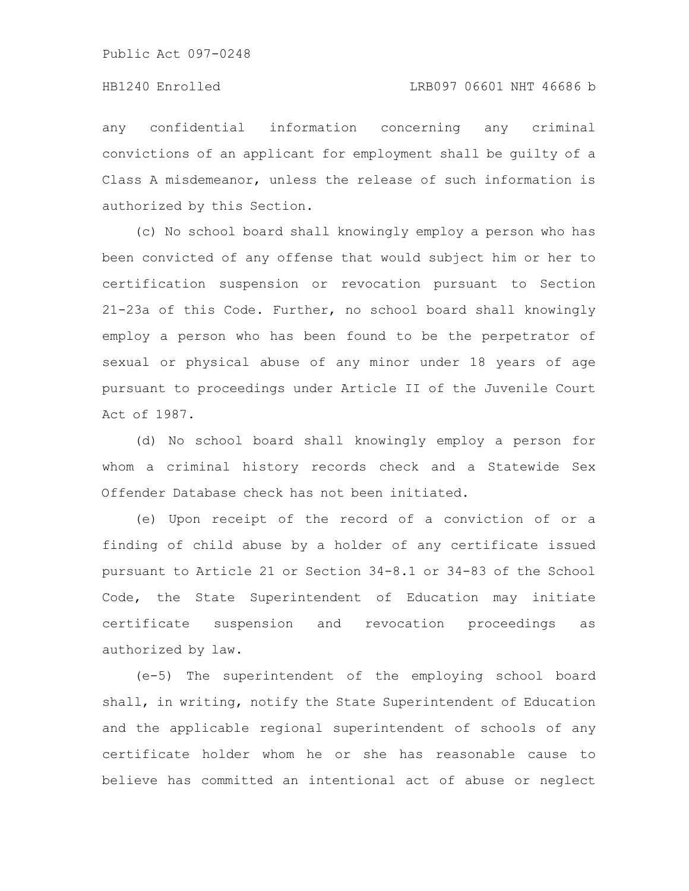any confidential information concerning any criminal convictions of an applicant for employment shall be guilty of a Class A misdemeanor, unless the release of such information is authorized by this Section.

(c) No school board shall knowingly employ a person who has been convicted of any offense that would subject him or her to certification suspension or revocation pursuant to Section 21-23a of this Code. Further, no school board shall knowingly employ a person who has been found to be the perpetrator of sexual or physical abuse of any minor under 18 years of age pursuant to proceedings under Article II of the Juvenile Court Act of 1987.

(d) No school board shall knowingly employ a person for whom a criminal history records check and a Statewide Sex Offender Database check has not been initiated.

(e) Upon receipt of the record of a conviction of or a finding of child abuse by a holder of any certificate issued pursuant to Article 21 or Section 34-8.1 or 34-83 of the School Code, the State Superintendent of Education may initiate certificate suspension and revocation proceedings as authorized by law.

(e-5) The superintendent of the employing school board shall, in writing, notify the State Superintendent of Education and the applicable regional superintendent of schools of any certificate holder whom he or she has reasonable cause to believe has committed an intentional act of abuse or neglect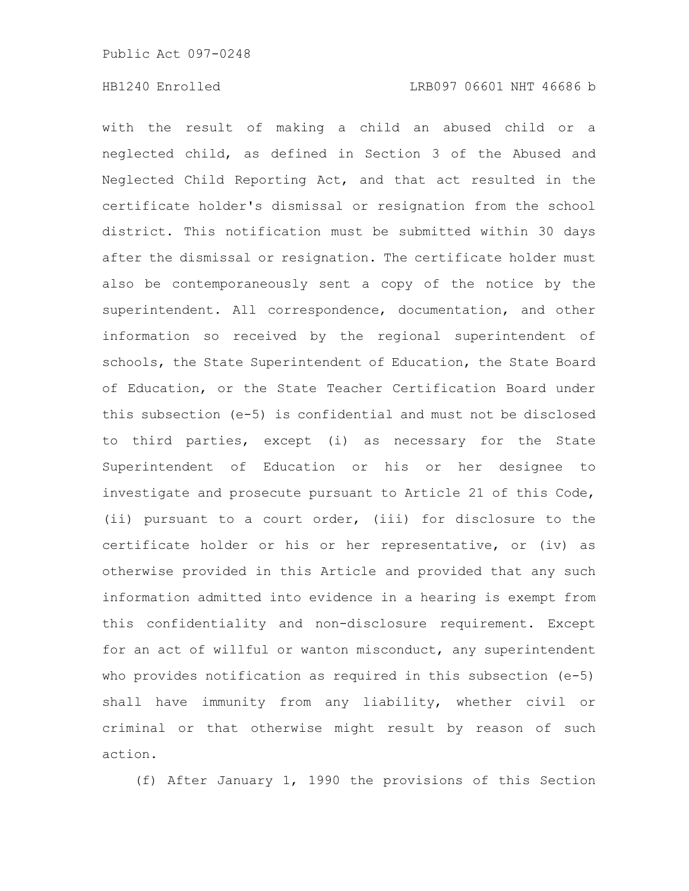with the result of making a child an abused child or a neglected child, as defined in Section 3 of the Abused and Neglected Child Reporting Act, and that act resulted in the certificate holder's dismissal or resignation from the school district. This notification must be submitted within 30 days after the dismissal or resignation. The certificate holder must also be contemporaneously sent a copy of the notice by the superintendent. All correspondence, documentation, and other information so received by the regional superintendent of schools, the State Superintendent of Education, the State Board of Education, or the State Teacher Certification Board under this subsection (e-5) is confidential and must not be disclosed to third parties, except (i) as necessary for the State Superintendent of Education or his or her designee to investigate and prosecute pursuant to Article 21 of this Code, (ii) pursuant to a court order, (iii) for disclosure to the certificate holder or his or her representative, or (iv) as otherwise provided in this Article and provided that any such information admitted into evidence in a hearing is exempt from this confidentiality and non-disclosure requirement. Except for an act of willful or wanton misconduct, any superintendent who provides notification as required in this subsection (e-5) shall have immunity from any liability, whether civil or criminal or that otherwise might result by reason of such action.

(f) After January 1, 1990 the provisions of this Section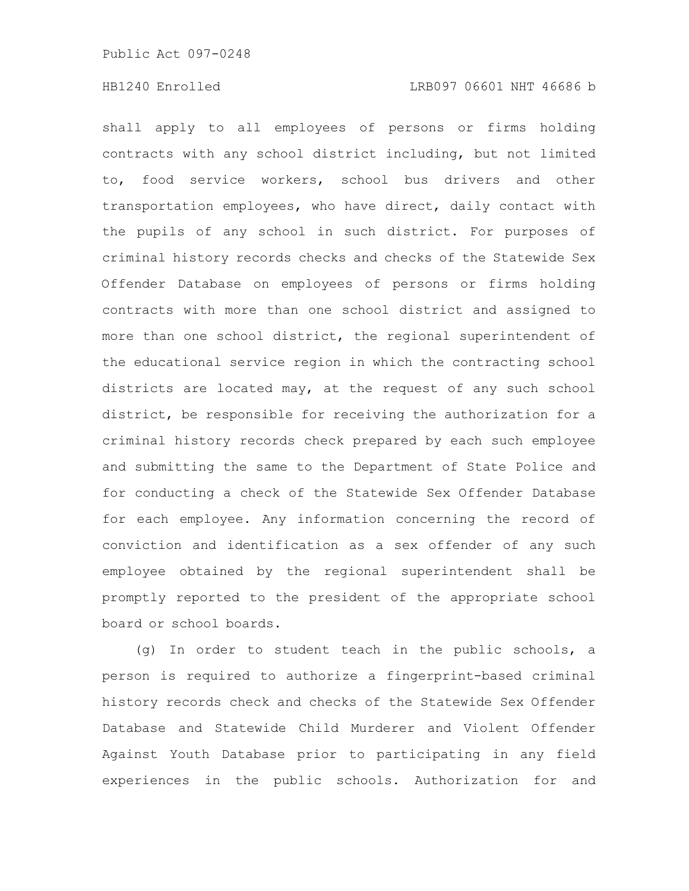# HB1240 Enrolled LRB097 06601 NHT 46686 b

shall apply to all employees of persons or firms holding contracts with any school district including, but not limited to, food service workers, school bus drivers and other transportation employees, who have direct, daily contact with the pupils of any school in such district. For purposes of criminal history records checks and checks of the Statewide Sex Offender Database on employees of persons or firms holding contracts with more than one school district and assigned to more than one school district, the regional superintendent of the educational service region in which the contracting school districts are located may, at the request of any such school district, be responsible for receiving the authorization for a criminal history records check prepared by each such employee and submitting the same to the Department of State Police and for conducting a check of the Statewide Sex Offender Database for each employee. Any information concerning the record of conviction and identification as a sex offender of any such employee obtained by the regional superintendent shall be promptly reported to the president of the appropriate school board or school boards.

(g) In order to student teach in the public schools, a person is required to authorize a fingerprint-based criminal history records check and checks of the Statewide Sex Offender Database and Statewide Child Murderer and Violent Offender Against Youth Database prior to participating in any field experiences in the public schools. Authorization for and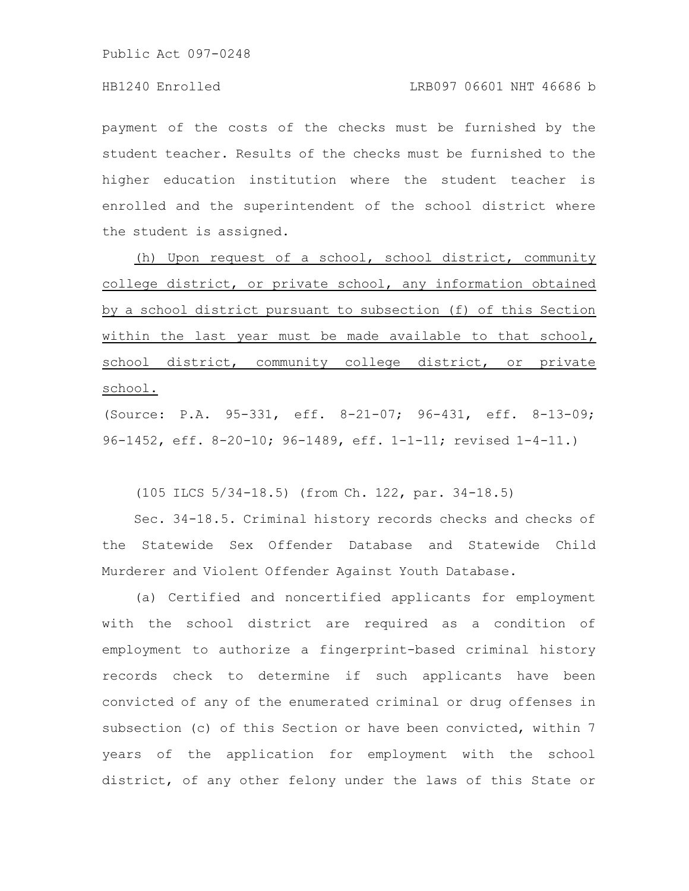payment of the costs of the checks must be furnished by the student teacher. Results of the checks must be furnished to the higher education institution where the student teacher is enrolled and the superintendent of the school district where the student is assigned.

(h) Upon request of a school, school district, community college district, or private school, any information obtained by a school district pursuant to subsection (f) of this Section within the last year must be made available to that school, school district, community college district, or private school.

(Source: P.A. 95-331, eff. 8-21-07; 96-431, eff. 8-13-09; 96-1452, eff. 8-20-10; 96-1489, eff. 1-1-11; revised 1-4-11.)

(105 ILCS 5/34-18.5) (from Ch. 122, par. 34-18.5)

Sec. 34-18.5. Criminal history records checks and checks of the Statewide Sex Offender Database and Statewide Child Murderer and Violent Offender Against Youth Database.

(a) Certified and noncertified applicants for employment with the school district are required as a condition of employment to authorize a fingerprint-based criminal history records check to determine if such applicants have been convicted of any of the enumerated criminal or drug offenses in subsection (c) of this Section or have been convicted, within 7 years of the application for employment with the school district, of any other felony under the laws of this State or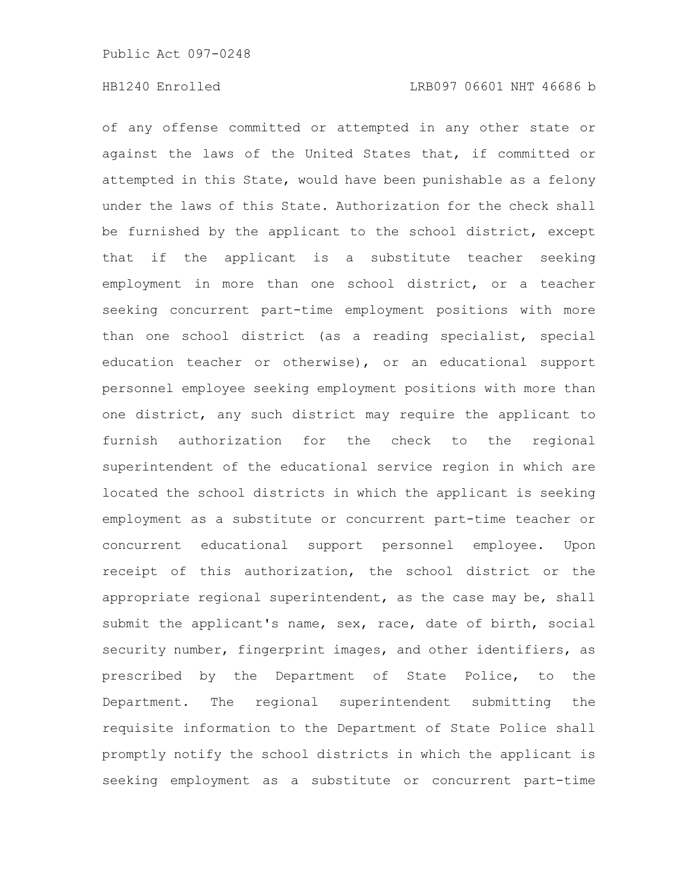of any offense committed or attempted in any other state or against the laws of the United States that, if committed or attempted in this State, would have been punishable as a felony under the laws of this State. Authorization for the check shall be furnished by the applicant to the school district, except that if the applicant is a substitute teacher seeking employment in more than one school district, or a teacher seeking concurrent part-time employment positions with more than one school district (as a reading specialist, special education teacher or otherwise), or an educational support personnel employee seeking employment positions with more than one district, any such district may require the applicant to furnish authorization for the check to the regional superintendent of the educational service region in which are located the school districts in which the applicant is seeking employment as a substitute or concurrent part-time teacher or concurrent educational support personnel employee. Upon receipt of this authorization, the school district or the appropriate regional superintendent, as the case may be, shall submit the applicant's name, sex, race, date of birth, social security number, fingerprint images, and other identifiers, as prescribed by the Department of State Police, to the Department. The regional superintendent submitting the requisite information to the Department of State Police shall promptly notify the school districts in which the applicant is seeking employment as a substitute or concurrent part-time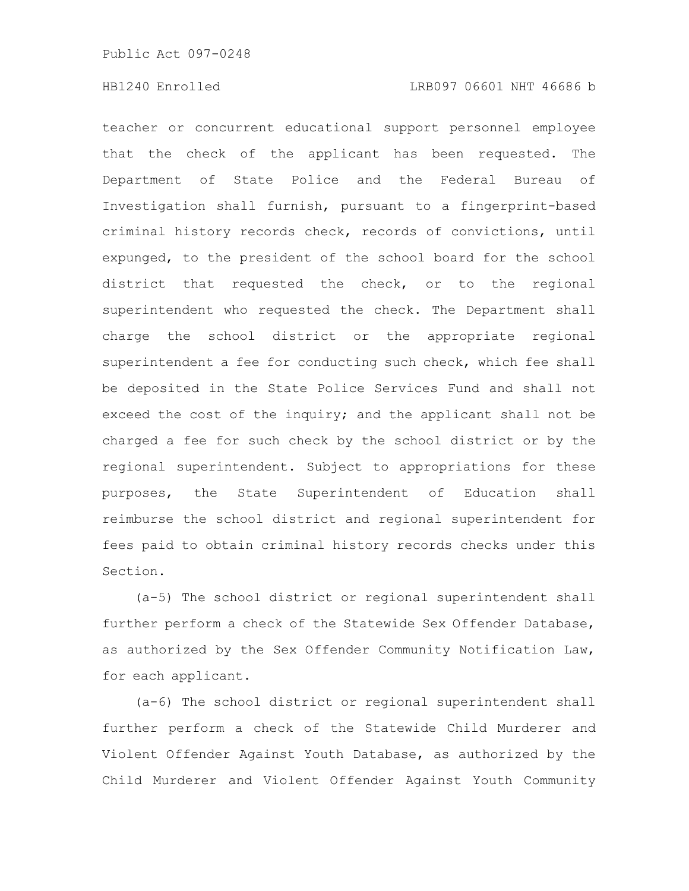teacher or concurrent educational support personnel employee that the check of the applicant has been requested. The Department of State Police and the Federal Bureau of Investigation shall furnish, pursuant to a fingerprint-based criminal history records check, records of convictions, until expunged, to the president of the school board for the school district that requested the check, or to the regional superintendent who requested the check. The Department shall charge the school district or the appropriate regional superintendent a fee for conducting such check, which fee shall be deposited in the State Police Services Fund and shall not exceed the cost of the inquiry; and the applicant shall not be charged a fee for such check by the school district or by the regional superintendent. Subject to appropriations for these purposes, the State Superintendent of Education shall reimburse the school district and regional superintendent for fees paid to obtain criminal history records checks under this Section.

(a-5) The school district or regional superintendent shall further perform a check of the Statewide Sex Offender Database, as authorized by the Sex Offender Community Notification Law, for each applicant.

(a-6) The school district or regional superintendent shall further perform a check of the Statewide Child Murderer and Violent Offender Against Youth Database, as authorized by the Child Murderer and Violent Offender Against Youth Community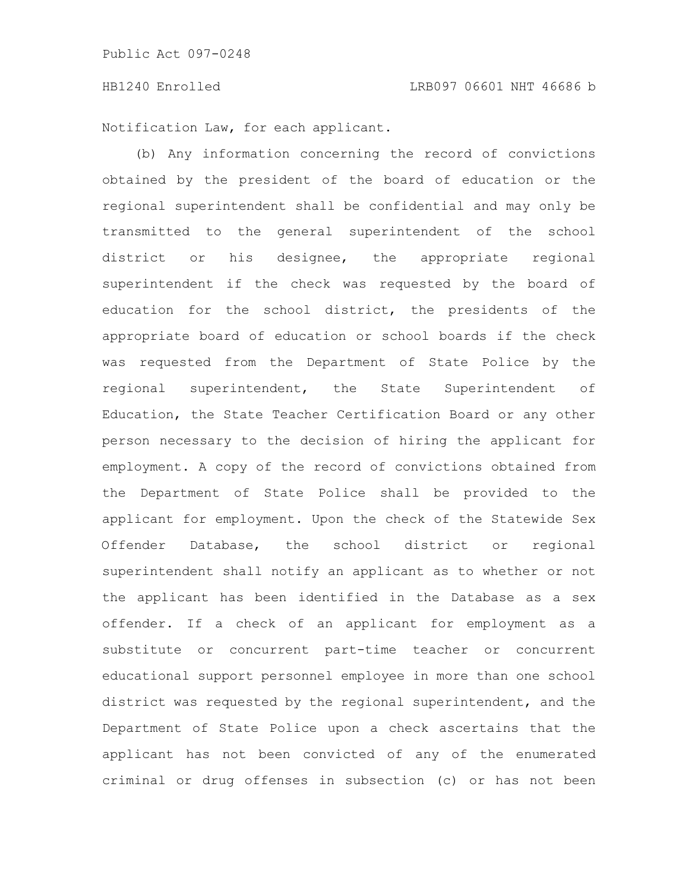### HB1240 Enrolled LRB097 06601 NHT 46686 b

Notification Law, for each applicant.

(b) Any information concerning the record of convictions obtained by the president of the board of education or the regional superintendent shall be confidential and may only be transmitted to the general superintendent of the school district or his designee, the appropriate regional superintendent if the check was requested by the board of education for the school district, the presidents of the appropriate board of education or school boards if the check was requested from the Department of State Police by the regional superintendent, the State Superintendent of Education, the State Teacher Certification Board or any other person necessary to the decision of hiring the applicant for employment. A copy of the record of convictions obtained from the Department of State Police shall be provided to the applicant for employment. Upon the check of the Statewide Sex Offender Database, the school district or regional superintendent shall notify an applicant as to whether or not the applicant has been identified in the Database as a sex offender. If a check of an applicant for employment as a substitute or concurrent part-time teacher or concurrent educational support personnel employee in more than one school district was requested by the regional superintendent, and the Department of State Police upon a check ascertains that the applicant has not been convicted of any of the enumerated criminal or drug offenses in subsection (c) or has not been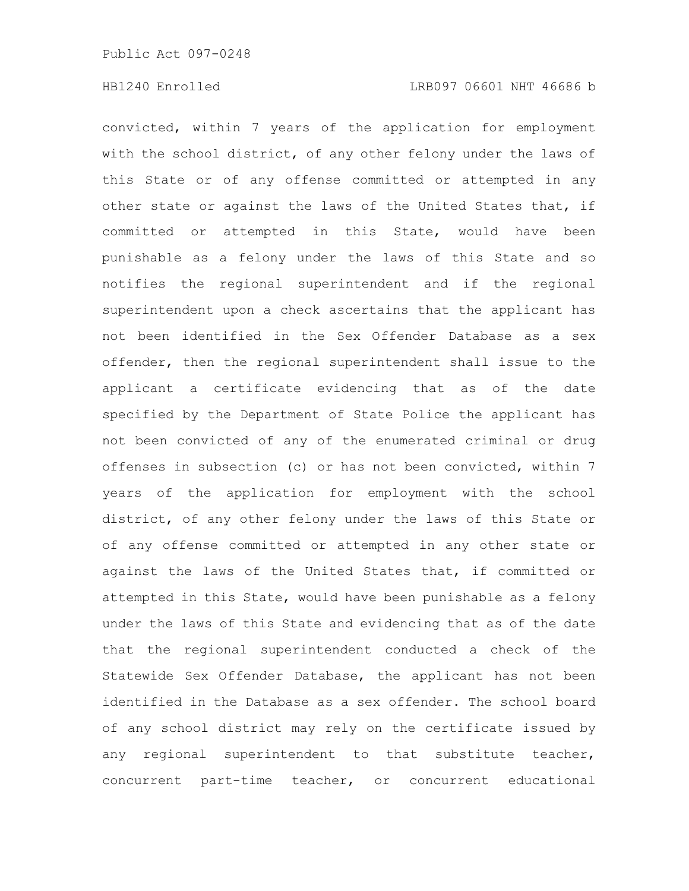convicted, within 7 years of the application for employment with the school district, of any other felony under the laws of this State or of any offense committed or attempted in any other state or against the laws of the United States that, if committed or attempted in this State, would have been punishable as a felony under the laws of this State and so notifies the regional superintendent and if the regional superintendent upon a check ascertains that the applicant has not been identified in the Sex Offender Database as a sex offender, then the regional superintendent shall issue to the applicant a certificate evidencing that as of the date specified by the Department of State Police the applicant has not been convicted of any of the enumerated criminal or drug offenses in subsection (c) or has not been convicted, within 7 years of the application for employment with the school district, of any other felony under the laws of this State or of any offense committed or attempted in any other state or against the laws of the United States that, if committed or attempted in this State, would have been punishable as a felony under the laws of this State and evidencing that as of the date that the regional superintendent conducted a check of the Statewide Sex Offender Database, the applicant has not been identified in the Database as a sex offender. The school board of any school district may rely on the certificate issued by any regional superintendent to that substitute teacher, concurrent part-time teacher, or concurrent educational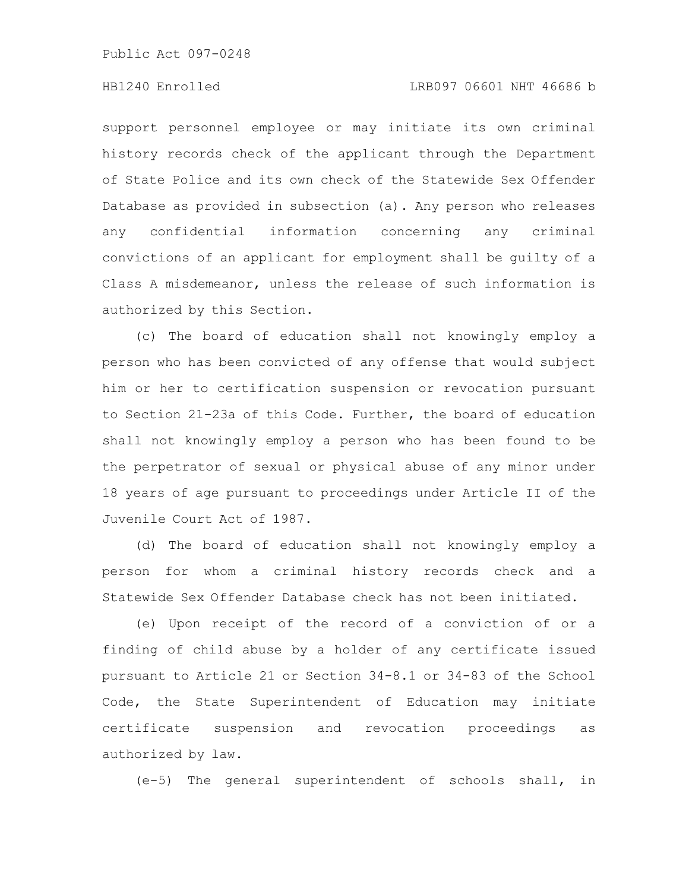### HB1240 Enrolled LRB097 06601 NHT 46686 b

support personnel employee or may initiate its own criminal history records check of the applicant through the Department of State Police and its own check of the Statewide Sex Offender Database as provided in subsection (a). Any person who releases any confidential information concerning any criminal convictions of an applicant for employment shall be guilty of a Class A misdemeanor, unless the release of such information is authorized by this Section.

(c) The board of education shall not knowingly employ a person who has been convicted of any offense that would subject him or her to certification suspension or revocation pursuant to Section 21-23a of this Code. Further, the board of education shall not knowingly employ a person who has been found to be the perpetrator of sexual or physical abuse of any minor under 18 years of age pursuant to proceedings under Article II of the Juvenile Court Act of 1987.

(d) The board of education shall not knowingly employ a person for whom a criminal history records check and a Statewide Sex Offender Database check has not been initiated.

(e) Upon receipt of the record of a conviction of or a finding of child abuse by a holder of any certificate issued pursuant to Article 21 or Section 34-8.1 or 34-83 of the School Code, the State Superintendent of Education may initiate certificate suspension and revocation proceedings as authorized by law.

(e-5) The general superintendent of schools shall, in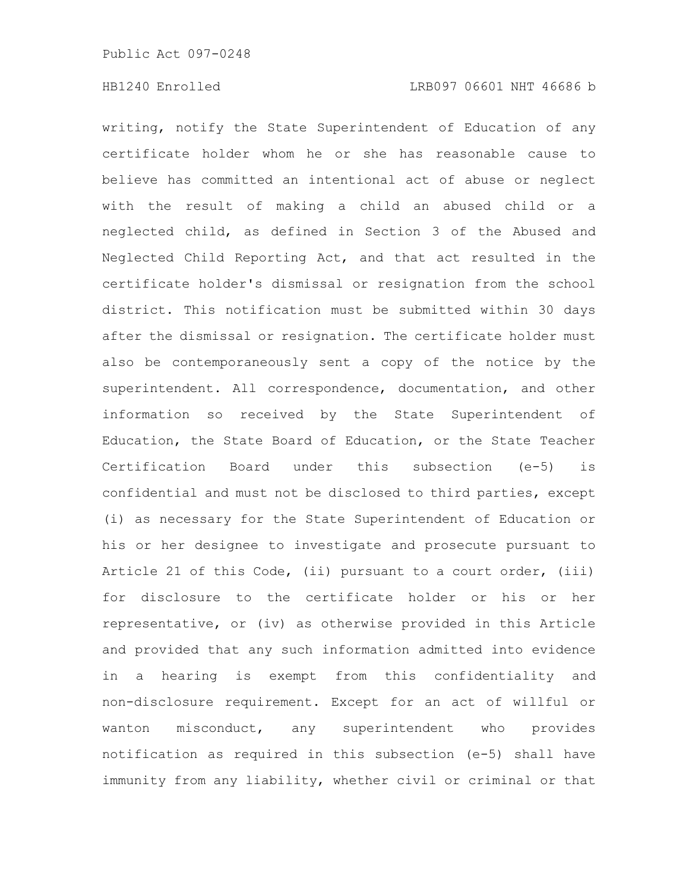writing, notify the State Superintendent of Education of any certificate holder whom he or she has reasonable cause to believe has committed an intentional act of abuse or neglect with the result of making a child an abused child or a neglected child, as defined in Section 3 of the Abused and Neglected Child Reporting Act, and that act resulted in the certificate holder's dismissal or resignation from the school district. This notification must be submitted within 30 days after the dismissal or resignation. The certificate holder must also be contemporaneously sent a copy of the notice by the superintendent. All correspondence, documentation, and other information so received by the State Superintendent of Education, the State Board of Education, or the State Teacher Certification Board under this subsection (e-5) is confidential and must not be disclosed to third parties, except (i) as necessary for the State Superintendent of Education or his or her designee to investigate and prosecute pursuant to Article 21 of this Code, (ii) pursuant to a court order, (iii) for disclosure to the certificate holder or his or her representative, or (iv) as otherwise provided in this Article and provided that any such information admitted into evidence in a hearing is exempt from this confidentiality and non-disclosure requirement. Except for an act of willful or wanton misconduct, any superintendent who provides notification as required in this subsection (e-5) shall have immunity from any liability, whether civil or criminal or that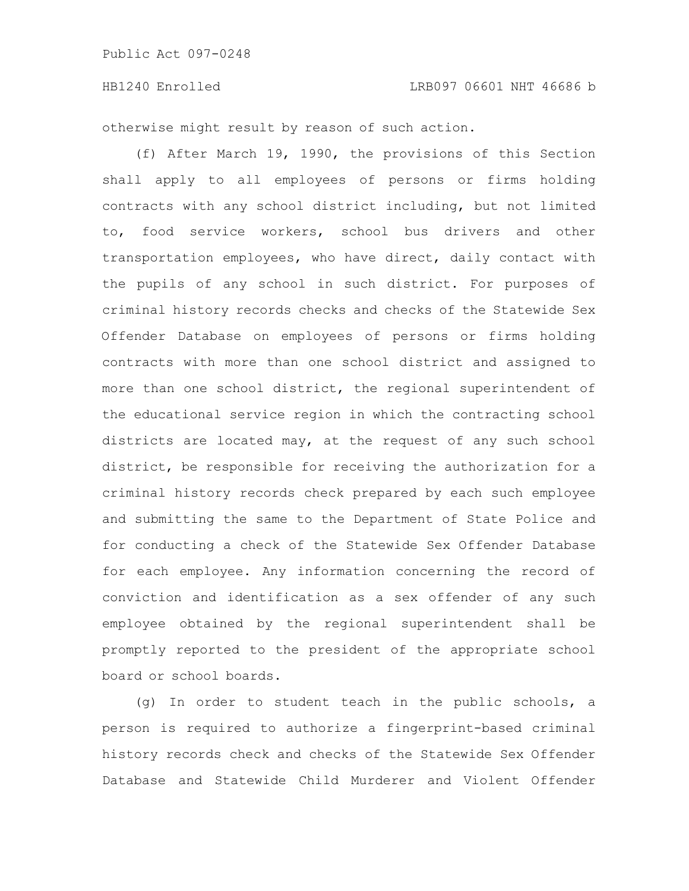otherwise might result by reason of such action.

(f) After March 19, 1990, the provisions of this Section shall apply to all employees of persons or firms holding contracts with any school district including, but not limited to, food service workers, school bus drivers and other transportation employees, who have direct, daily contact with the pupils of any school in such district. For purposes of criminal history records checks and checks of the Statewide Sex Offender Database on employees of persons or firms holding contracts with more than one school district and assigned to more than one school district, the regional superintendent of the educational service region in which the contracting school districts are located may, at the request of any such school district, be responsible for receiving the authorization for a criminal history records check prepared by each such employee and submitting the same to the Department of State Police and for conducting a check of the Statewide Sex Offender Database for each employee. Any information concerning the record of conviction and identification as a sex offender of any such employee obtained by the regional superintendent shall be promptly reported to the president of the appropriate school board or school boards.

(g) In order to student teach in the public schools, a person is required to authorize a fingerprint-based criminal history records check and checks of the Statewide Sex Offender Database and Statewide Child Murderer and Violent Offender